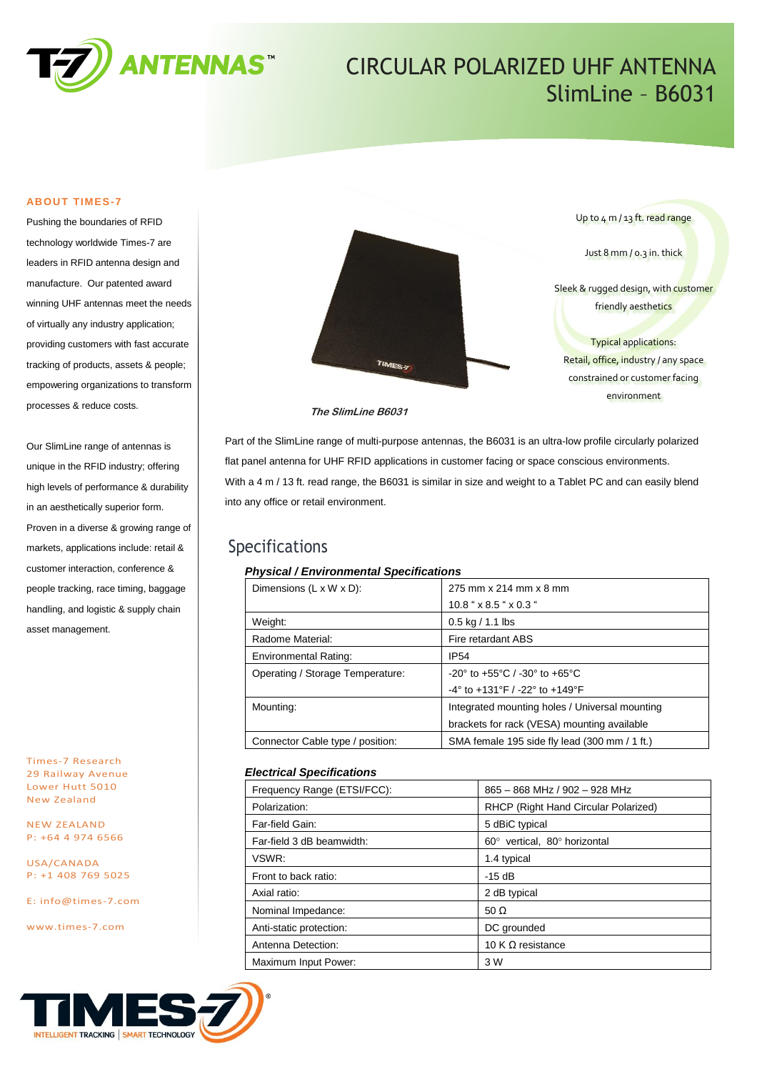

# CIRCULAR POLARIZED UHF ANTENNA SlimLine – B6031

### **ABOUT TIMES-7**

Pushing the boundaries of RFID technology worldwide Times-7 are leaders in RFID antenna design and manufacture. Our patented award winning UHF antennas meet the needs of virtually any industry application; providing customers with fast accurate tracking of products, assets & people; empowering organizations to transform processes & reduce costs.

Our SlimLine range of antennas is unique in the RFID industry; offering high levels of performance & durability in an aesthetically superior form. Proven in a diverse & growing range of markets, applications include: retail & customer interaction, conference & people tracking, race timing, baggage handling, and logistic & supply chain asset management.

Times-7 Research 29 Railway Avenue Lower Hutt 5010 New Zealand

NEW ZEALAND P: +64 4 974 6566

USA/CANADA P: +1 408 769 5025

E: [info@times-7.com](mailto:info@times-7.com)

www.times-7.com



**The SlimLine B6031**

Part of the SlimLine range of multi-purpose antennas, the B6031 is an ultra-low profile circularly polarized flat panel antenna for UHF RFID applications in customer facing or space conscious environments. With a 4 m / 13 ft. read range, the B6031 is similar in size and weight to a Tablet PC and can easily blend into any office or retail environment.

### Specifications

### *Physical / Environmental Specifications*

| Dimensions $(L \times W \times D)$ : | 275 mm x 214 mm x 8 mm                                               |
|--------------------------------------|----------------------------------------------------------------------|
|                                      | $10.8$ " x 8.5 " x 0.3 "                                             |
| Weight:                              | $0.5$ kg / 1.1 lbs                                                   |
| Radome Material:                     | Fire retardant ABS                                                   |
| <b>Environmental Rating:</b>         | <b>IP54</b>                                                          |
| Operating / Storage Temperature:     | $-20^{\circ}$ to $+55^{\circ}$ C / $-30^{\circ}$ to $+65^{\circ}$ C  |
|                                      | $-4^{\circ}$ to $+131^{\circ}$ F / $-22^{\circ}$ to $+149^{\circ}$ F |
| Mounting:                            | Integrated mounting holes / Universal mounting                       |
|                                      | brackets for rack (VESA) mounting available                          |
| Connector Cable type / position:     | SMA female 195 side fly lead (300 mm / 1 ft.)                        |
|                                      |                                                                      |

### *Electrical Specifications*

| Frequency Range (ETSI/FCC): | 865 - 868 MHz / 902 - 928 MHz        |  |  |
|-----------------------------|--------------------------------------|--|--|
| Polarization:               | RHCP (Right Hand Circular Polarized) |  |  |
| Far-field Gain:             | 5 dBiC typical                       |  |  |
| Far-field 3 dB beamwidth:   | 60° vertical, 80° horizontal         |  |  |
| VSWR:                       | 1.4 typical                          |  |  |
| Front to back ratio:        | $-15dB$                              |  |  |
| Axial ratio:                | 2 dB typical                         |  |  |
| Nominal Impedance:          | 50 $\Omega$                          |  |  |
| Anti-static protection:     | DC grounded                          |  |  |
| Antenna Detection:          | 10 K $\Omega$ resistance             |  |  |
| Maximum Input Power:        | 3 W                                  |  |  |